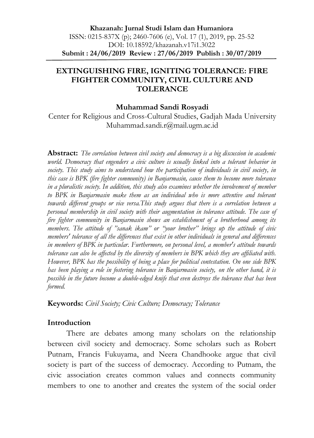### **EXTINGUISHING FIRE, IGNITING TOLERANCE: FIRE FIGHTER COMMUNITY, CIVIL CULTURE AND TOLERANCE**

#### **Muhammad Sandi Rosyadi**

Center for Religious and Cross-Cultural Studies, Gadjah Mada University Muhammad.sandi.r@mail.ugm.ac.id

**Abstract:** *The correlation between civil society and democracy is a big discussion in academic world. Democracy that engenders a civic culture is usually linked into a tolerant behavior in society. This study aims to understand how the participation of individuals in civil society, in this case is BPK (fire fighter community) in Banjarmasin, cause them to become more tolerance in a pluralistic society. In addition, this study also examines whether the involvement of member to BPK in Banjarmasin make them as an individual who is more attentive and tolerant towards different groups or vice versa.This study argues that there is a correlation between a personal membership in civil society with their augmentation in tolerance attitude. The case of fire fighter community in Banjarmasin shows an establishment of a brotherhood among its members. The attitude of "sanak ikam" or "your brother" brings up the attitude of civic members' tolerance of all the differences that exist in other individuals in general and differences in members of BPK in particular. Furthermore, on personal level, a member's attitude towards tolerance can also be affected by the diversity of members in BPK which they are affiliated with. However, BPK has the possibility of being a place for political contestation. On one side BPK has been playing a role in fostering tolerance in Banjarmasin society, on the other hand, it is possible in the future become a double-edged knife that even destroys the tolerance that has been formed.*

**Keywords:** *Civil Society; Civic Culture; Democracy; Tolerance*

#### **Introduction**

There are debates among many scholars on the relationship between civil society and democracy. Some scholars such as Robert Putnam, Francis Fukuyama, and Neera Chandhooke argue that civil society is part of the success of democracy. According to Putnam, the civic association creates common values and connects community members to one to another and creates the system of the social order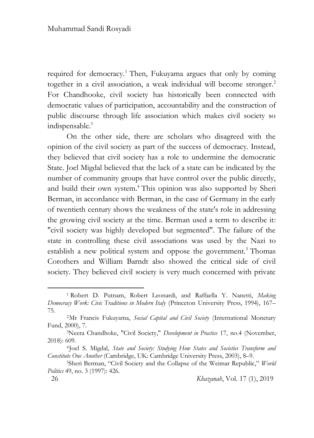required for democracy.<sup>1</sup> Then, Fukuyama argues that only by coming together in a civil association, a weak individual will become stronger. 2 For Chandhooke, civil society has historically been connected with democratic values of participation, accountability and the construction of public discourse through life association which makes civil society so indispensable. 3

On the other side, there are scholars who disagreed with the opinion of the civil society as part of the success of democracy. Instead, they believed that civil society has a role to undermine the democratic State. Joel Migdal believed that the lack of a state can be indicated by the number of community groups that have control over the public directly, and build their own system. <sup>4</sup> This opinion was also supported by Sheri Berman, in accordance with Berman, in the case of Germany in the early of twentieth century shows the weakness of the state's role in addressing the growing civil society at the time. Berman used a term to describe it: "civil society was highly developed but segmented". The failure of the state in controlling these civil associations was used by the Nazi to establish a new political system and oppose the government.<sup>5</sup> Thomas Corothers and William Barndt also showed the critical side of civil society. They believed civil society is very much concerned with private

<sup>1</sup> Robert D. Putnam, Robert Leonardi, and Raffaella Y. Nanetti, *Making Democracy Work: Civic Traditions in Modern Italy* (Princeton University Press, 1994), 167– 75.

<sup>2</sup>Mr Francis Fukuyama, *Social Capital and Civil Society* (International Monetary Fund, 2000), 7.

<sup>3</sup>Neera Chandhoke, "Civil Society," *Development in Practice* 17, no.4 (November, 2018): 609.

<sup>4</sup> Joel S. Migdal, *State and Society: Studying How States and Societies Transform and Constitute One Another* (Cambridge, UK: Cambridge University Press, 2003), 8–9.

<sup>5</sup>Sheri Berman, "Civil Society and the Collapse of the Weimar Republic," *World Politics* 49, no. 3 (1997): 426.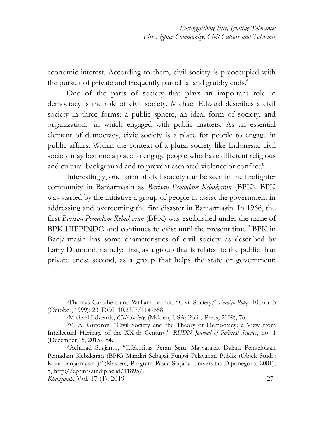economic interest. According to them, civil society is preoccupied with the pursuit of private and frequently parochial and grubby ends.<sup>6</sup>

One of the parts of society that plays an important role in democracy is the role of civil society. Michael Edward describes a civil society in three forms: a public sphere, an ideal form of society, and organization, 7 in which engaged with public matters. As an essential element of democracy, civic society is a place for people to engage in public affairs. Within the context of a plural society like Indonesia, civil society may become a place to engage people who have different religious and cultural background and to prevent escalated violence or conflict.<sup>8</sup>

Interestingly, one form of civil society can be seen in the firefighter community in Banjarmasin as *Barisan Pemadam Kebakaran* (BPK). BPK was started by the initiative a group of people to assist the government in addressing and overcoming the fire disaster in Banjarmasin. In 1966, the first *Barisan Pemadam Kebakaran* (BPK) was established under the name of BPK HIPPINDO and continues to exist until the present time. <sup>9</sup> BPK in Banjarmasin has some characteristics of civil society as described by Larry Diamond, namely: first, as a group that is related to the public than private ends; second, as a group that helps the state or government;

.

<sup>6</sup>Thomas Carothers and William Barndt, "Civil Society," *Foreign Policy* 10, no. 3 (October, 1999): 23. DOI: 10.2307/1149558

<sup>7</sup>Michael Edwards, *Civil Society,* (Malden, USA: Polity Press, 2009), 76.

<sup>8</sup>V. A. Gutorov, "Civil Society and the Theory of Democracy: a View from Intellectual Heritage of the XX-th Century," *RUDN Journal of Political Science*, no. 1 (December 15, 2015): 54.

<sup>9</sup>Achmad Sugianto, "Efektifitas Peran Serta Masyarakat Dalam Pengelolaan Pemadam Kebakaran (BPK) Mandiri Sebagai Fungsi Pelayanan Publik (Objek Studi : Kota Banjarmasin )*"* (Masters, Program Pasca Sarjana Universitas Diponegoro, 2001), 5, http://eprints.undip.ac.id/11895/.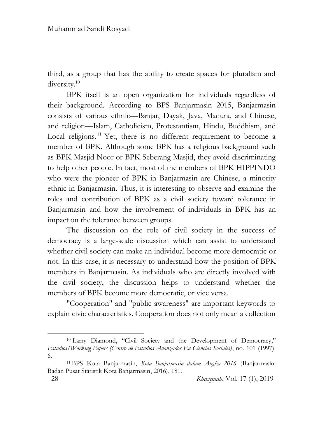1

third, as a group that has the ability to create spaces for pluralism and diversity.<sup>10</sup>

BPK itself is an open organization for individuals regardless of their background. According to BPS Banjarmasin 2015, Banjarmasin consists of various ethnic—Banjar, Dayak, Java, Madura, and Chinese, and religion—Islam, Catholicism, Protestantism, Hindu, Buddhism, and Local religions.<sup>11</sup> Yet, there is no different requirement to become a member of BPK. Although some BPK has a religious background such as BPK Masjid Noor or BPK Seberang Masjid, they avoid discriminating to help other people. In fact, most of the members of BPK HIPPINDO who were the pioneer of BPK in Banjarmasin are Chinese, a minority ethnic in Banjarmasin. Thus, it is interesting to observe and examine the roles and contribution of BPK as a civil society toward tolerance in Banjarmasin and how the involvement of individuals in BPK has an impact on the tolerance between groups.

The discussion on the role of civil society in the success of democracy is a large-scale discussion which can assist to understand whether civil society can make an individual become more democratic or not. In this case, it is necessary to understand how the position of BPK members in Banjarmasin. As individuals who are directly involved with the civil society, the discussion helps to understand whether the members of BPK become more democratic, or vice versa.

"Cooperation" and "public awareness" are important keywords to explain civic characteristics. Cooperation does not only mean a collection

<sup>10</sup> Larry Diamond, "Civil Society and the Development of Democracy," *Estudios/Working Papers (Centro de Estudios Avanzados En Ciencias Sociales)*, no. 101 (1997): 6.

<sup>11</sup> BPS Kota Banjarmasin, *Kota Banjarmasin dalam Angka 2016* (Banjarmasin: Badan Pusat Statistik Kota Banjarmasin, 2016), 181.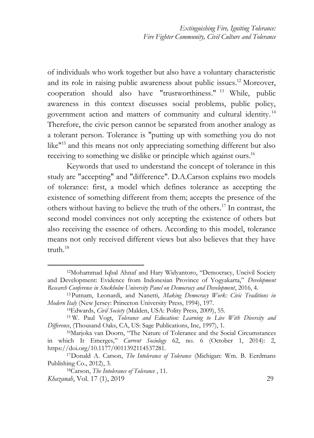of individuals who work together but also have a voluntary characteristic and its role in raising public awareness about public issues. <sup>12</sup> Moreover, cooperation should also have "trustworthiness." <sup>13</sup> While, public awareness in this context discusses social problems, public policy, government action and matters of community and cultural identity.<sup>14</sup> Therefore, the civic person cannot be separated from another analogy as a tolerant person. Tolerance is "putting up with something you do not like<sup>"15</sup> and this means not only appreciating something different but also receiving to something we dislike or principle which against ours.<sup>16</sup>

Keywords that used to understand the concept of tolerance in this study are "accepting" and "difference". D.A.Carson explains two models of tolerance: first, a model which defines tolerance as accepting the existence of something different from them; accepts the presence of the others without having to believe the truth of the others. <sup>17</sup> In contrast, the second model convinces not only accepting the existence of others but also receiving the essence of others. According to this model, tolerance means not only received different views but also believes that they have truth. 18

<sup>12</sup>Mohammad Iqbal Ahnaf and Hary Widyantoro, "Democracy, Uncivil Society and Development: Evidence from Indonesian Province of Yogyakarta," *Development Research Conference in Stockholm University Panel on Democracy and Development*, 2016, 4.

<sup>13</sup>Putnam, Leonardi, and Nanetti, *Making Democracy Work: Civic Traditions in Modern Italy* (New Jersey: Princeton University Press, 1994), 197.

<sup>14</sup>Edwards, *Civil Society* (Malden, USA: Polity Press, 2009), 55.

<sup>15</sup> W. Paul Vogt, *Tolerance and Education: Learning to Live With Diversity and Difference*, (Thousand Oaks, CA, US: Sage Publications, Inc, 1997), 1.

<sup>16</sup>Marjoka van Doorn, "The Nature of Tolerance and the Social Circumstances in which It Emerges," *Current Sociology* 62, no. 6 (October 1, 2014): 2, https://doi.org/10.1177/0011392114537281.

<sup>17</sup>Donald A. Carson, *The Intolerance of Tolerance* (Michigan: Wm. B. Eerdmans Publishing Co., 2012), 3.

<sup>18</sup>Carson, *The Intolerance of Tolerance* , 11.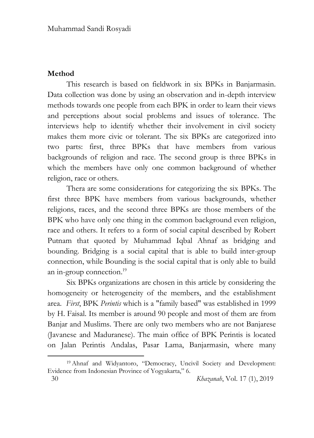# **Method**

1

This research is based on fieldwork in six BPKs in Banjarmasin. Data collection was done by using an observation and in-depth interview methods towards one people from each BPK in order to learn their views and perceptions about social problems and issues of tolerance. The interviews help to identify whether their involvement in civil society makes them more civic or tolerant. The six BPKs are categorized into two parts: first, three BPKs that have members from various backgrounds of religion and race. The second group is three BPKs in which the members have only one common background of whether religion, race or others.

Thera are some considerations for categorizing the six BPKs. The first three BPK have members from various backgrounds, whether religions, races, and the second three BPKs are those members of the BPK who have only one thing in the common background even religion, race and others. It refers to a form of social capital described by Robert Putnam that quoted by Muhammad Iqbal Ahnaf as bridging and bounding. Bridging is a social capital that is able to build inter-group connection, while Bounding is the social capital that is only able to build an in-group connection.<sup>19</sup>

Six BPKs organizations are chosen in this article by considering the homogeneity or heterogeneity of the members, and the establishment area. *First*, BPK *Perintis* which is a "family based" was established in 1999 by H. Faisal. Its member is around 90 people and most of them are from Banjar and Muslims. There are only two members who are not Banjarese (Javanese and Maduranese). The main office of BPK Perintis is located on Jalan Perintis Andalas, Pasar Lama, Banjarmasin, where many

 <sup>30</sup> *Khazanah*, Vol. 17 (1), 2019 <sup>19</sup> Ahnaf and Widyantoro, "Democracy, Uncivil Society and Development: Evidence from Indonesian Province of Yogyakarta," 6.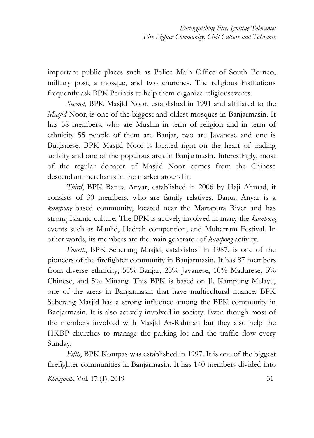important public places such as Police Main Office of South Borneo, military post, a mosque, and two churches. The religious institutions frequently ask BPK Perintis to help them organize religiousevents.

*Second*, BPK Masjid Noor, established in 1991 and affiliated to the *Masjid* Noor, is one of the biggest and oldest mosques in Banjarmasin. It has 58 members, who are Muslim in term of religion and in term of ethnicity 55 people of them are Banjar, two are Javanese and one is Bugisnese. BPK Masjid Noor is located right on the heart of trading activity and one of the populous area in Banjarmasin. Interestingly, most of the regular donator of Masjid Noor comes from the Chinese descendant merchants in the market around it.

*Third*, BPK Banua Anyar, established in 2006 by Haji Ahmad, it consists of 30 members, who are family relatives. Banua Anyar is a *kampong* based community, located near the Martapura River and has strong Islamic culture. The BPK is actively involved in many the *kampong* events such as Maulid, Hadrah competition, and Muharram Festival. In other words, its members are the main generator of *kampong* activity.

*Fourth*, BPK Seberang Masjid, established in 1987, is one of the pioneers of the firefighter community in Banjarmasin. It has 87 members from diverse ethnicity; 55% Banjar, 25% Javanese, 10% Madurese, 5% Chinese, and 5% Minang. This BPK is based on Jl. Kampung Melayu, one of the areas in Banjarmasin that have multicultural nuance. BPK Seberang Masjid has a strong influence among the BPK community in Banjarmasin. It is also actively involved in society. Even though most of the members involved with Masjid Ar-Rahman but they also help the HKBP churches to manage the parking lot and the traffic flow every Sunday.

*Fifth*, BPK Kompas was established in 1997. It is one of the biggest firefighter communities in Banjarmasin. It has 140 members divided into

*Khazanah*, Vol. 17 (1), 2019 31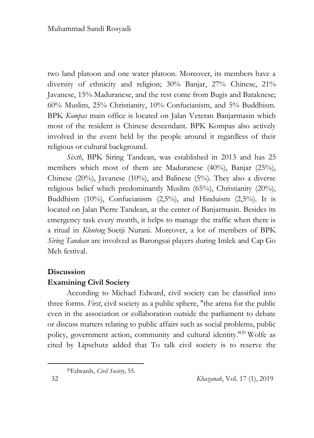two land platoon and one water platoon. Moreover, its members have a diversity of ethnicity and religion; 30% Banjar, 27% Chinese, 21% Javanese, 15% Maduranese, and the rest come from Bugis and Bataknese; 60% Muslim, 25% Christianity, 10% Confucianism, and 5% Buddhism. BPK *Kompas* main office is located on Jalan Veteran Banjarmasin which most of the resident is Chinese descendant. BPK Kompas also actively involved in the event held by the people around it regardless of their religious or cultural background.

*Sixth*, BPK Siring Tandean, was established in 2013 and has 25 members which most of them are Maduranese (40%), Banjar (25%), Chinese (20%), Javanese (10%), and Balinese (5%). They also a diverse religious belief which predominantly Muslim (65%), Christianity (20%), Buddhism (10%), Confucianism (2,5%), and Hinduism (2,5%). It is located on Jalan Pierre Tandean, at the center of Banjarmasin. Besides its emergency task every month, it helps to manage the traffic when there is a ritual in *Klenteng* Soetji Nurani. Moreover, a lot of members of BPK *Siring Tandean* are involved as Barongsai players during Imlek and Cap Go Meh festival.

## **Discussion**

## **Examining Civil Society**

According to Michael Edward, civil society can be classified into three forms. *First*, civil society as a public sphere, "the arena for the public even in the association or collaboration outside the parliament to debate or discuss matters relating to public affairs such as social problems, public policy, government action, community and cultural identity."<sup>20</sup> Wolfe as cited by Lipschutz added that To talk civil society is to reserve the

<sup>20</sup>Edwards, *Civil Society*, 55.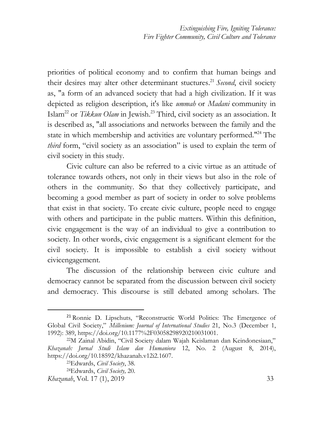priorities of political economy and to confirm that human beings and their desires may alter other determinant stuctures. <sup>21</sup> *Second*, civil society as, "a form of an advanced society that had a high civilization. If it was depicted as religion description, it's like *ummah* or *Madani* community in Islam<sup>22</sup> or *Tikkun Olam* in Jewish.<sup>23</sup> Third, civil society as an association. It is described as, "all associations and networks between the family and the state in which membership and activities are voluntary performed.<sup>124</sup> The *third* form, "civil society as an association" is used to explain the term of civil society in this study.

Civic culture can also be referred to a civic virtue as an attitude of tolerance towards others, not only in their views but also in the role of others in the community. So that they collectively participate, and becoming a good member as part of society in order to solve problems that exist in that society. To create civic culture, people need to engage with others and participate in the public matters. Within this definition, civic engagement is the way of an individual to give a contribution to society. In other words, civic engagement is a significant element for the civil society. It is impossible to establish a civil society without civicengagement.

The discussion of the relationship between civic culture and democracy cannot be separated from the discussion between civil society and democracy. This discourse is still debated among scholars. The

<sup>21</sup> Ronnie D. Lipschuts, "Reconstructic World Politics: The Emergence of Global Civil Society," *Millenium: Journal of International Studies* 21, No.3 (December 1, 1992): 389, https://doi.org/10.1177%2F03058298920210031001.

<sup>22</sup>M Zainal Abidin, "Civil Society dalam Wajah Keislaman dan Keindonesiaan," *Khazanah: Jurnal Studi Islam dan Humaniora* 12, No. 2 (August 8, 2014), https://doi.org/10.18592/khazanah.v12i2.1607.

<sup>23</sup>Edwards, *Civil Society*, 38.

<sup>24</sup>Edwards, *Civil Society,* 20.

*Khazanah*, Vol. 17 (1), 2019 33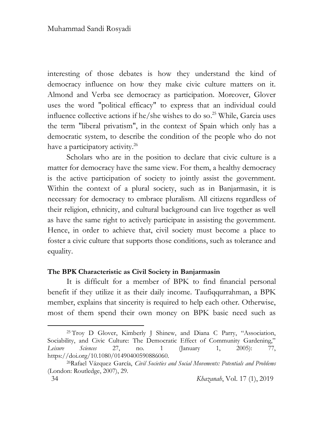interesting of those debates is how they understand the kind of democracy influence on how they make civic culture matters on it. Almond and Verba see democracy as participation. Moreover, Glover uses the word "political efficacy" to express that an individual could influence collective actions if he/she wishes to do so. <sup>25</sup> While, Garcia uses the term "liberal privatism", in the context of Spain which only has a democratic system, to describe the condition of the people who do not have a participatory activity.<sup>26</sup>

Scholars who are in the position to declare that civic culture is a matter for democracy have the same view. For them, a healthy democracy is the active participation of society to jointly assist the government. Within the context of a plural society, such as in Banjarmasin, it is necessary for democracy to embrace pluralism. All citizens regardless of their religion, ethnicity, and cultural background can live together as well as have the same right to actively participate in assisting the government. Hence, in order to achieve that, civil society must become a place to foster a civic culture that supports those conditions, such as tolerance and equality.

#### **The BPK Characteristic as Civil Society in Banjarmasin**

It is difficult for a member of BPK to find financial personal benefit if they utilize it as their daily income. Taufiqqurrahman, a BPK member, explains that sincerity is required to help each other. Otherwise, most of them spend their own money on BPK basic need such as

<sup>25</sup> Troy D Glover, Kimberly J Shinew, and Diana C Parry, "Association, Sociability, and Civic Culture: The Democratic Effect of Community Gardening," *Leisure Sciences* 27, no. 1 (January 1, 2005): 77, https://doi.org/10.1080/01490400590886060.

<sup>26</sup>Rafael Vázquez García, *Civil Societies and Social Movements: Potentials and Problems* (London: Routledge, 2007), 29.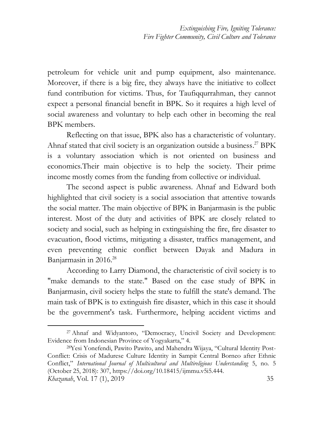petroleum for vehicle unit and pump equipment, also maintenance. Moreover, if there is a big fire, they always have the initiative to collect fund contribution for victims. Thus, for Taufiqqurrahman, they cannot expect a personal financial benefit in BPK. So it requires a high level of social awareness and voluntary to help each other in becoming the real BPK members.

Reflecting on that issue, BPK also has a characteristic of voluntary. Ahnaf stated that civil society is an organization outside a business.<sup>27</sup> BPK is a voluntary association which is not oriented on business and economics.Their main objective is to help the society. Their prime income mostly comes from the funding from collective or individual.

The second aspect is public awareness. Ahnaf and Edward both highlighted that civil society is a social association that attentive towards the social matter. The main objective of BPK in Banjarmasin is the public interest. Most of the duty and activities of BPK are closely related to society and social, such as helping in extinguishing the fire, fire disaster to evacuation, flood victims, mitigating a disaster, traffics management, and even preventing ethnic conflict between Dayak and Madura in Banjarmasin in 2016.<sup>28</sup>

According to Larry Diamond, the characteristic of civil society is to "make demands to the state." Based on the case study of BPK in Banjarmasin, civil society helps the state to fulfill the state's demand. The main task of BPK is to extinguish fire disaster, which in this case it should be the government's task. Furthermore, helping accident victims and

<sup>27</sup> Ahnaf and Widyantoro, "Democracy, Uncivil Society and Development: Evidence from Indonesian Province of Yogyakarta," 4.

*Khazanah*, Vol. 17 (1), 2019 35 28Yesi Yonefendi, Pawito Pawito, and Mahendra Wijaya, "Cultural Identity Post-Conflict: Crisis of Madurese Culture Identity in Sampit Central Borneo after Ethnic Conflict," *International Journal of Multicultural and Multireligious Understanding* 5, no. 5 (October 25, 2018): 307, https://doi.org/10.18415/ijmmu.v5i5.444.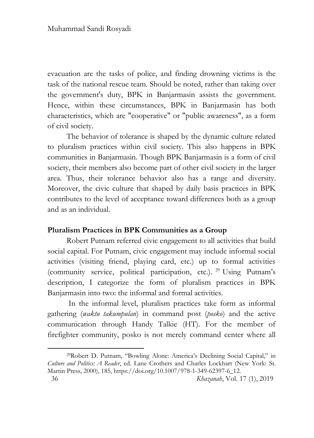evacuation are the tasks of police, and finding drowning victims is the task of the national rescue team. Should be noted, rather than taking over the government's duty, BPK in Banjarmasin assists the government. Hence, within these circumstances, BPK in Banjarmasin has both characteristics, which are "cooperative" or "public awareness", as a form of civil society.

The behavior of tolerance is shaped by the dynamic culture related to pluralism practices within civil society. This also happens in BPK communities in Banjarmasin. Though BPK Banjarmasin is a form of civil society, their members also become part of other civil society in the larger area. Thus, their tolerance behavior also has a range and diversity. Moreover, the civic culture that shaped by daily basis practices in BPK contributes to the level of acceptance toward differences both as a group and as an individual.

## **Pluralism Practices in BPK Communities as a Group**

Robert Putnam referred civic engagement to all activities that build social capital. For Putnam, civic engagement may include informal social activities (visiting friend, playing card, etc.) up to formal activities (community service, political participation, etc.). <sup>29</sup> Using Putnam's description, I categorize the form of pluralism practices in BPK Banjarmasin into two: the informal and formal activities.

In the informal level, pluralism practices take form as informal gathering (*waktu takumpulan*) in command post (*posko*) and the active communication through Handy Talkie (HT). For the member of firefighter community, posko is not merely command center where all

.

<sup>29</sup>Robert D. Putnam, "Bowling Alone: America's Declining Social Capital," in *Culture and Politics: A Reader*, ed. Lane Crothers and Charles Lockhart (New York: St. Martin Press, 2000), 185, https://doi.org/10.1007/978-1-349-62397-6\_12.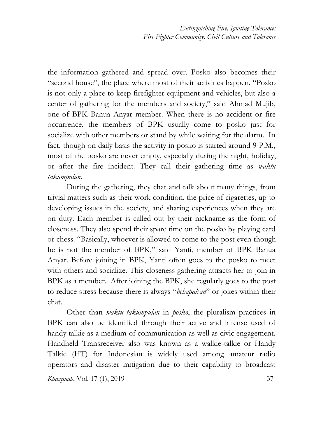the information gathered and spread over. Posko also becomes their "second house", the place where most of their activities happen. "Posko is not only a place to keep firefighter equipment and vehicles, but also a center of gathering for the members and society," said Ahmad Mujib, one of BPK Banua Anyar member. When there is no accident or fire occurrence, the members of BPK usually come to posko just for socialize with other members or stand by while waiting for the alarm. In fact, though on daily basis the activity in posko is started around 9 P.M., most of the posko are never empty, especially during the night, holiday, or after the fire incident. They call their gathering time as *waktu takumpulan*.

During the gathering, they chat and talk about many things, from trivial matters such as their work condition, the price of cigarettes, up to developing issues in the society, and sharing experiences when they are on duty. Each member is called out by their nickname as the form of closeness. They also spend their spare time on the posko by playing card or chess. "Basically, whoever is allowed to come to the post even though he is not the member of BPK," said Yanti, member of BPK Banua Anyar. Before joining in BPK, Yanti often goes to the posko to meet with others and socialize. This closeness gathering attracts her to join in BPK as a member. After joining the BPK, she regularly goes to the post to reduce stress because there is always "*behapakan*" or jokes within their chat.

Other than *waktu takumpulan* in *posko*, the pluralism practices in BPK can also be identified through their active and intense used of handy talkie as a medium of communication as well as civic engagement. Handheld Transreceiver also was known as a walkie-talkie or Handy Talkie (HT) for Indonesian is widely used among amateur radio operators and disaster mitigation due to their capability to broadcast

*Khazanah*, Vol. 17 (1), 2019 37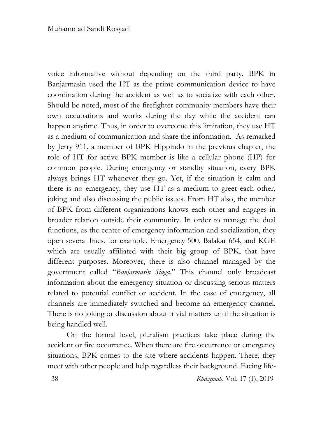voice informative without depending on the third party. BPK in Banjarmasin used the HT as the prime communication device to have coordination during the accident as well as to socialize with each other. Should be noted, most of the firefighter community members have their own occupations and works during the day while the accident can happen anytime. Thus, in order to overcome this limitation, they use HT as a medium of communication and share the information. As remarked by Jerry 911, a member of BPK Hippindo in the previous chapter, the role of HT for active BPK member is like a cellular phone (HP) for common people. During emergency or standby situation, every BPK always brings HT whenever they go. Yet, if the situation is calm and there is no emergency, they use HT as a medium to greet each other, joking and also discussing the public issues. From HT also, the member of BPK from different organizations knows each other and engages in broader relation outside their community. In order to manage the dual functions, as the center of emergency information and socialization, they open several lines, for example, Emergency 500, Balakar 654, and KGE which are usually affiliated with their big group of BPK, that have different purposes. Moreover, there is also channel managed by the government called "*Banjarmasin Siaga*." This channel only broadcast information about the emergency situation or discussing serious matters related to potential conflict or accident. In the case of emergency, all channels are immediately switched and become an emergency channel. There is no joking or discussion about trivial matters until the situation is being handled well.

On the formal level, pluralism practices take place during the accident or fire occurrence. When there are fire occurrence or emergency situations, BPK comes to the site where accidents happen. There, they meet with other people and help regardless their background. Facing life-

38 *Khazanah*, Vol. 17 (1), 2019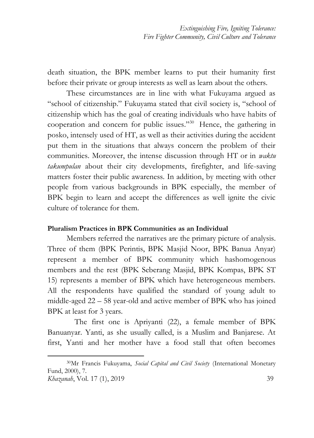death situation, the BPK member learns to put their humanity first before their private or group interests as well as learn about the others.

These circumstances are in line with what Fukuyama argued as "school of citizenship." Fukuyama stated that civil society is, "school of citizenship which has the goal of creating individuals who have habits of cooperation and concern for public issues." 30 Hence, the gathering in posko, intensely used of HT, as well as their activities during the accident put them in the situations that always concern the problem of their communities. Moreover, the intense discussion through HT or in *waktu takumpulan* about their city developments, firefighter, and life-saving matters foster their public awareness. In addition, by meeting with other people from various backgrounds in BPK especially, the member of BPK begin to learn and accept the differences as well ignite the civic culture of tolerance for them.

#### **Pluralism Practices in BPK Communities as an Individual**

1

Members referred the narratives are the primary picture of analysis. Three of them (BPK Perintis, BPK Masjid Noor, BPK Banua Anyar) represent a member of BPK community which hashomogenous members and the rest (BPK Seberang Masjid, BPK Kompas, BPK ST 15) represents a member of BPK which have heterogeneous members. All the respondents have qualified the standard of young adult to middle-aged 22 – 58 year-old and active member of BPK who has joined BPK at least for 3 years.

 The first one is Apriyanti (22), a female member of BPK Banuanyar. Yanti, as she usually called, is a Muslim and Banjarese. At first, Yanti and her mother have a food stall that often becomes

*Khazanah*, Vol. 17 (1), 2019 39 <sup>30</sup>Mr Francis Fukuyama, *Social Capital and Civil Society* (International Monetary Fund, 2000), 7.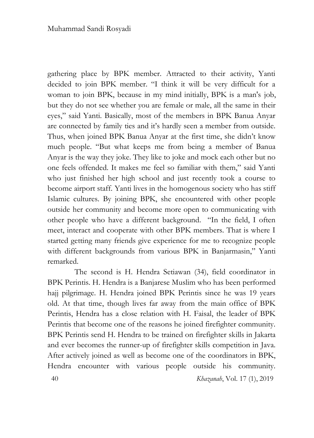gathering place by BPK member. Attracted to their activity, Yanti decided to join BPK member. "I think it will be very difficult for a woman to join BPK, because in my mind initially, BPK is a man's job, but they do not see whether you are female or male, all the same in their eyes," said Yanti. Basically, most of the members in BPK Banua Anyar are connected by family ties and it's hardly seen a member from outside. Thus, when joined BPK Banua Anyar at the first time, she didn't know much people. "But what keeps me from being a member of Banua Anyar is the way they joke. They like to joke and mock each other but no one feels offended. It makes me feel so familiar with them," said Yanti who just finished her high school and just recently took a course to become airport staff. Yanti lives in the homogenous society who has stiff Islamic cultures. By joining BPK, she encountered with other people outside her community and become more open to communicating with other people who have a different background. "In the field, I often meet, interact and cooperate with other BPK members. That is where I started getting many friends give experience for me to recognize people with different backgrounds from various BPK in Banjarmasin," Yanti remarked.

 40 *Khazanah*, Vol. 17 (1), 2019 The second is H. Hendra Setiawan (34), field coordinator in BPK Perintis. H. Hendra is a Banjarese Muslim who has been performed hajj pilgrimage. H. Hendra joined BPK Perintis since he was 19 years old. At that time, though lives far away from the main office of BPK Perintis, Hendra has a close relation with H. Faisal, the leader of BPK Perintis that become one of the reasons he joined firefighter community. BPK Perintis send H. Hendra to be trained on firefighter skills in Jakarta and ever becomes the runner-up of firefighter skills competition in Java. After actively joined as well as become one of the coordinators in BPK, Hendra encounter with various people outside his community.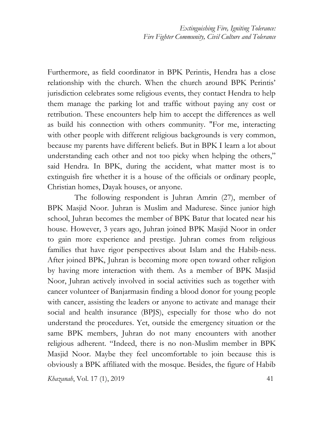Furthermore, as field coordinator in BPK Perintis, Hendra has a close relationship with the church. When the church around BPK Perintis' jurisdiction celebrates some religious events, they contact Hendra to help them manage the parking lot and traffic without paying any cost or retribution. These encounters help him to accept the differences as well as build his connection with others community. "For me, interacting with other people with different religious backgrounds is very common, because my parents have different beliefs. But in BPK I learn a lot about understanding each other and not too picky when helping the others," said Hendra. In BPK, during the accident, what matter most is to extinguish fire whether it is a house of the officials or ordinary people, Christian homes, Dayak houses, or anyone.

 The following respondent is Juhran Amrin (27), member of BPK Masjid Noor. Juhran is Muslim and Madurese. Since junior high school, Juhran becomes the member of BPK Batur that located near his house. However, 3 years ago, Juhran joined BPK Masjid Noor in order to gain more experience and prestige. Juhran comes from religious families that have rigor perspectives about Islam and the Habib-ness. After joined BPK, Juhran is becoming more open toward other religion by having more interaction with them. As a member of BPK Masjid Noor, Juhran actively involved in social activities such as together with cancer volunteer of Banjarmasin finding a blood donor for young people with cancer, assisting the leaders or anyone to activate and manage their social and health insurance (BPJS), especially for those who do not understand the procedures. Yet, outside the emergency situation or the same BPK members, Juhran do not many encounters with another religious adherent. "Indeed, there is no non-Muslim member in BPK Masjid Noor. Maybe they feel uncomfortable to join because this is obviously a BPK affiliated with the mosque. Besides, the figure of Habib

*Khazanah*, Vol. 17 (1), 2019 41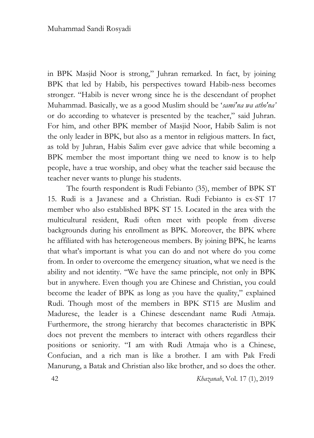in BPK Masjid Noor is strong," Juhran remarked. In fact, by joining BPK that led by Habib, his perspectives toward Habib-ness becomes stronger. "Habib is never wrong since he is the descendant of prophet Muhammad. Basically, we as a good Muslim should be '*sami'na wa atho'na'* or do according to whatever is presented by the teacher," said Juhran. For him, and other BPK member of Masjid Noor, Habib Salim is not the only leader in BPK, but also as a mentor in religious matters. In fact, as told by Juhran, Habis Salim ever gave advice that while becoming a BPK member the most important thing we need to know is to help people, have a true worship, and obey what the teacher said because the teacher never wants to plunge his students.

The fourth respondent is Rudi Febianto (35), member of BPK ST 15. Rudi is a Javanese and a Christian. Rudi Febianto is ex-ST 17 member who also established BPK ST 15. Located in the area with the multicultural resident, Rudi often meet with people from diverse backgrounds during his enrollment as BPK. Moreover, the BPK where he affiliated with has heterogeneous members. By joining BPK, he learns that what's important is what you can do and not where do you come from. In order to overcome the emergency situation, what we need is the ability and not identity. "We have the same principle, not only in BPK but in anywhere. Even though you are Chinese and Christian, you could become the leader of BPK as long as you have the quality," explained Rudi. Though most of the members in BPK ST15 are Muslim and Madurese, the leader is a Chinese descendant name Rudi Atmaja. Furthermore, the strong hierarchy that becomes characteristic in BPK does not prevent the members to interact with others regardless their positions or seniority. "I am with Rudi Atmaja who is a Chinese, Confucian, and a rich man is like a brother. I am with Pak Fredi Manurung, a Batak and Christian also like brother, and so does the other.

42 *Khazanah*, Vol. 17 (1), 2019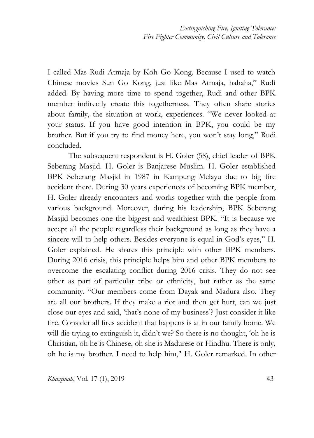I called Mas Rudi Atmaja by Koh Go Kong. Because I used to watch Chinese movies Sun Go Kong, just like Mas Atmaja, hahaha," Rudi added. By having more time to spend together, Rudi and other BPK member indirectly create this togetherness. They often share stories about family, the situation at work, experiences. "We never looked at your status. If you have good intention in BPK, you could be my brother. But if you try to find money here, you won't stay long," Rudi concluded.

The subsequent respondent is H. Goler (58), chief leader of BPK Seberang Masjid. H. Goler is Banjarese Muslim. H. Goler established BPK Seberang Masjid in 1987 in Kampung Melayu due to big fire accident there. During 30 years experiences of becoming BPK member, H. Goler already encounters and works together with the people from various background. Moreover, during his leadership, BPK Seberang Masjid becomes one the biggest and wealthiest BPK. "It is because we accept all the people regardless their background as long as they have a sincere will to help others. Besides everyone is equal in God's eyes," H. Goler explained. He shares this principle with other BPK members. During 2016 crisis, this principle helps him and other BPK members to overcome the escalating conflict during 2016 crisis. They do not see other as part of particular tribe or ethnicity, but rather as the same community. "Our members come from Dayak and Madura also. They are all our brothers. If they make a riot and then get hurt, can we just close our eyes and said, 'that's none of my business'? Just consider it like fire. Consider all fires accident that happens is at in our family home. We will die trying to extinguish it, didn't we? So there is no thought, 'oh he is Christian, oh he is Chinese, oh she is Madurese or Hindhu. There is only, oh he is my brother. I need to help him," H. Goler remarked. In other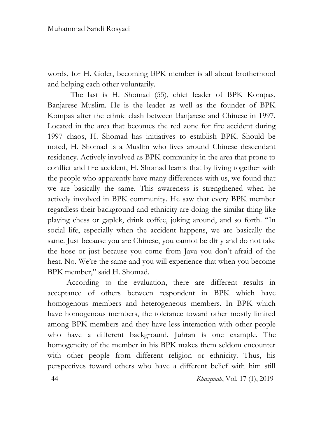words, for H. Goler, becoming BPK member is all about brotherhood and helping each other voluntarily.

 The last is H. Shomad (55), chief leader of BPK Kompas, Banjarese Muslim. He is the leader as well as the founder of BPK Kompas after the ethnic clash between Banjarese and Chinese in 1997. Located in the area that becomes the red zone for fire accident during 1997 chaos, H. Shomad has initiatives to establish BPK. Should be noted, H. Shomad is a Muslim who lives around Chinese descendant residency. Actively involved as BPK community in the area that prone to conflict and fire accident, H. Shomad learns that by living together with the people who apparently have many differences with us, we found that we are basically the same. This awareness is strengthened when he actively involved in BPK community. He saw that every BPK member regardless their background and ethnicity are doing the similar thing like playing chess or gaplek, drink coffee, joking around, and so forth. "In social life, especially when the accident happens, we are basically the same. Just because you are Chinese, you cannot be dirty and do not take the hose or just because you come from Java you don't afraid of the heat. No. We're the same and you will experience that when you become BPK member," said H. Shomad.

According to the evaluation, there are different results in acceptance of others between respondent in BPK which have homogenous members and heterogeneous members. In BPK which have homogenous members, the tolerance toward other mostly limited among BPK members and they have less interaction with other people who have a different background. Juhran is one example. The homogeneity of the member in his BPK makes them seldom encounter with other people from different religion or ethnicity. Thus, his perspectives toward others who have a different belief with him still

44 *Khazanah*, Vol. 17 (1), 2019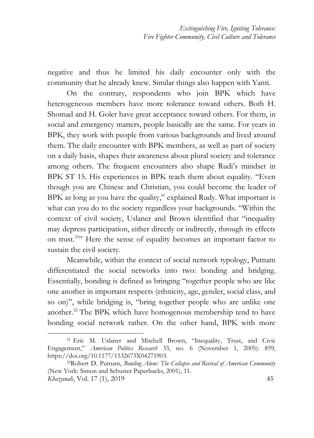negative and thus he limited his daily encounter only with the community that he already knew. Similar things also happen with Yanti.

On the contrary, respondents who join BPK which have heterogeneous members have more tolerance toward others. Both H. Shomad and H. Goler have great acceptance toward others. For them, in social and emergency matters, people basically are the same. For years in BPK, they work with people from various backgrounds and lived around them. The daily encounter with BPK members, as well as part of society on a daily basis, shapes their awareness about plural society and tolerance among others. The frequent encounters also shape Rudi's mindset in BPK ST 15. His experiences in BPK teach them about equality. "Even though you are Chinese and Christian, you could become the leader of BPK as long as you have the quality," explained Rudy. What important is what can you do to the society regardless your backgrounds. "Within the context of civil society, Uslaner and Brown identified that "inequality may depress participation, either directly or indirectly, through its effects on trust.<sup>31</sup>" Here the sense of equality becomes an important factor to sustain the civil society.

Meanwhile, within the context of social network typology, Putnam differentiated the social networks into two: bonding and bridging. Essentially, bonding is defined as bringing "together people who are like one another in important respects (ethnicity, age, gender, social class, and so on)", while bridging is, "bring together people who are unlike one another.<sup>32</sup> The BPK which have homogenous membership tend to have bonding social network rather. On the other hand, BPK with more

<sup>31</sup> Eric M. Uslaner and Mitchell Brown, "Inequality, Trust, and Civic Engagement," *American Politics Research* 33, no. 6 (November 1, 2005): 859, https://doi.org/10.1177/1532673X04271903.

*Khazanah*, Vol. 17 (1), 2019 45 <sup>32</sup>Robert D. Putnam, *Bowling Alone: The Collapse and Revival of American Community* (New York: Simon and Schuster Paperbacks, 2001), 11.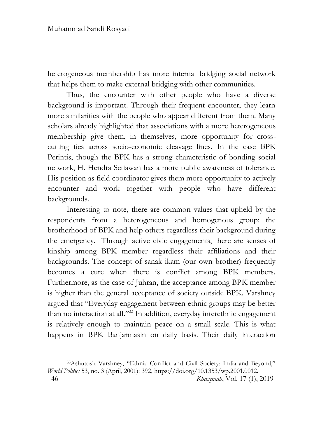1

heterogeneous membership has more internal bridging social network that helps them to make external bridging with other communities.

Thus, the encounter with other people who have a diverse background is important. Through their frequent encounter, they learn more similarities with the people who appear different from them. Many scholars already highlighted that associations with a more heterogeneous membership give them, in themselves, more opportunity for crosscutting ties across socio-economic cleavage lines. In the case BPK Perintis, though the BPK has a strong characteristic of bonding social network, H. Hendra Setiawan has a more public awareness of tolerance. His position as field coordinator gives them more opportunity to actively encounter and work together with people who have different backgrounds.

Interesting to note, there are common values that upheld by the respondents from a heterogeneous and homogenous group: the brotherhood of BPK and help others regardless their background during the emergency. Through active civic engagements, there are senses of kinship among BPK member regardless their affiliations and their backgrounds. The concept of sanak ikam (our own brother) frequently becomes a cure when there is conflict among BPK members. Furthermore, as the case of Juhran, the acceptance among BPK member is higher than the general acceptance of society outside BPK. Varshney argued that "Everyday engagement between ethnic groups may be better than no interaction at all." <sup>33</sup> In addition, everyday interethnic engagement is relatively enough to maintain peace on a small scale. This is what happens in BPK Banjarmasin on daily basis. Their daily interaction

 <sup>46</sup> *Khazanah*, Vol. 17 (1), 2019 <sup>33</sup>Ashutosh Varshney, "Ethnic Conflict and Civil Society: India and Beyond," *World Politics* 53, no. 3 (April, 2001): 392, https://doi.org/10.1353/wp.2001.0012.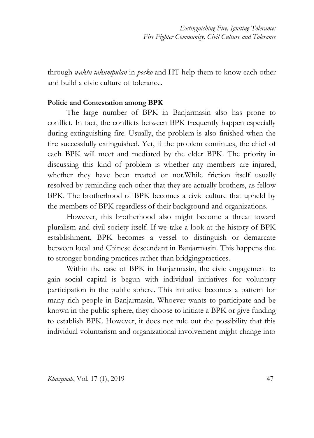*Extinguishing Fire, Igniting Tolerance: Fire Fighter Community, Civil Culture and Tolerance* 

through *waktu takumpulan* in *posko* and HT help them to know each other and build a civic culture of tolerance.

#### **Politic and Contestation among BPK**

The large number of BPK in Banjarmasin also has prone to conflict. In fact, the conflicts between BPK frequently happen especially during extinguishing fire. Usually, the problem is also finished when the fire successfully extinguished. Yet, if the problem continues, the chief of each BPK will meet and mediated by the elder BPK. The priority in discussing this kind of problem is whether any members are injured, whether they have been treated or not.While friction itself usually resolved by reminding each other that they are actually brothers, as fellow BPK. The brotherhood of BPK becomes a civic culture that upheld by the members of BPK regardless of their background and organizations.

However, this brotherhood also might become a threat toward pluralism and civil society itself. If we take a look at the history of BPK establishment, BPK becomes a vessel to distinguish or demarcate between local and Chinese descendant in Banjarmasin. This happens due to stronger bonding practices rather than bridgingpractices.

Within the case of BPK in Banjarmasin, the civic engagement to gain social capital is begun with individual initiatives for voluntary participation in the public sphere. This initiative becomes a pattern for many rich people in Banjarmasin. Whoever wants to participate and be known in the public sphere, they choose to initiate a BPK or give funding to establish BPK. However, it does not rule out the possibility that this individual voluntarism and organizational involvement might change into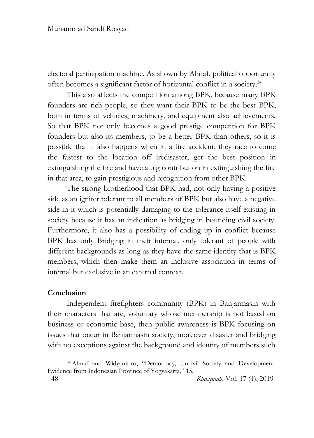electoral participation machine. As shown by Ahnaf, political opportunity often becomes a significant factor of horizontal conflict in a society.<sup>34</sup>

This also affects the competition among BPK, because many BPK founders are rich people, so they want their BPK to be the best BPK, both in terms of vehicles, machinery, and equipment also achievements. So that BPK not only becomes a good prestige competition for BPK founders but also its members, to be a better BPK than others, so it is possible that it also happens when in a fire accident, they race to come the fastest to the location off iredisaster, get the best position in extinguishing the fire and have a big contribution in extinguishing the fire in that area, to gain prestigious and recognition from other BPK.

The strong brotherhood that BPK had, not only having a positive side as an igniter tolerant to all members of BPK but also have a negative side in it which is potentially damaging to the tolerance itself existing in society because it has an indication as bridging in bounding civil society. Furthermore, it also has a possibility of ending up in conflict because BPK has only Bridging in their internal, only tolerant of people with different backgrounds as long as they have the same identity that is BPK members, which then make them an inclusive association in terms of internal but exclusive in an external context.

### **Conclusion**

1

Independent firefighters community (BPK) in Banjarmasin with their characters that are, voluntary whose membership is not based on business or economic base, then public awareness is BPK focusing on issues that occur in Banjarmasin society, moreover disaster and bridging with no exceptions against the background and identity of members such

<sup>34</sup> Ahnaf and Widyantoro, "Democracy, Uncivil Society and Development: Evidence from Indonesian Province of Yogyakarta," 15.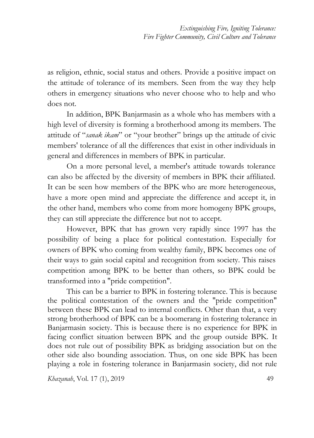as religion, ethnic, social status and others. Provide a positive impact on the attitude of tolerance of its members. Seen from the way they help others in emergency situations who never choose who to help and who does not.

In addition, BPK Banjarmasin as a whole who has members with a high level of diversity is forming a brotherhood among its members. The attitude of "*sanak ikam*" or "your brother" brings up the attitude of civic members' tolerance of all the differences that exist in other individuals in general and differences in members of BPK in particular.

On a more personal level, a member's attitude towards tolerance can also be affected by the diversity of members in BPK their affiliated. It can be seen how members of the BPK who are more heterogeneous, have a more open mind and appreciate the difference and accept it, in the other hand, members who come from more homogeny BPK groups, they can still appreciate the difference but not to accept.

However, BPK that has grown very rapidly since 1997 has the possibility of being a place for political contestation. Especially for owners of BPK who coming from wealthy family, BPK becomes one of their ways to gain social capital and recognition from society. This raises competition among BPK to be better than others, so BPK could be transformed into a "pride competition".

This can be a barrier to BPK in fostering tolerance. This is because the political contestation of the owners and the "pride competition" between these BPK can lead to internal conflicts. Other than that, a very strong brotherhood of BPK can be a boomerang in fostering tolerance in Banjarmasin society. This is because there is no experience for BPK in facing conflict situation between BPK and the group outside BPK. It does not rule out of possibility BPK as bridging association but on the other side also bounding association. Thus, on one side BPK has been playing a role in fostering tolerance in Banjarmasin society, did not rule

*Khazanah*, Vol. 17 (1), 2019 49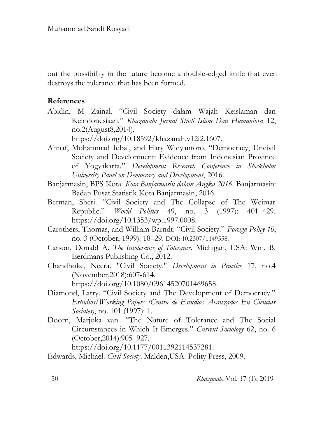out the possibility in the future become a double-edged knife that even destroys the tolerance that has been formed.

### **References**

Abidin, M Zainal. "Civil Society dalam Wajah Keislaman dan Keindonesiaan." *Khazanah: Jurnal Studi Islam Dan Humaniora* 12, no.2(August8,2014).

https://doi.org/10.18592/khazanah.v12i2.1607.

- Ahnaf, Mohammad Iqbal, and Hary Widyantoro. "Democracy, Uncivil Society and Development: Evidence from Indonesian Province of Yogyakarta." *Development Research Conference in Stockholm University Panel on Democracy and Development*, 2016.
- Banjarmasin, BPS Kota. *Kota Banjarmasin dalam Angka 2016*. Banjarmasin: Badan Pusat Statistik Kota Banjarmasin, 2016.
- Berman, Sheri. "Civil Society and The Collapse of The Weimar Republic." *World Politics* 49, no. 3 (1997): 401–429. https://doi.org/10.1353/wp.1997.0008.
- Carothers, Thomas, and William Barndt. "Civil Society." *Foreign Policy 10*, no. 3 (October, 1999): 18–29. DOI: 10.2307/1149558.
- Carson, Donald A. *The Intolerance of Tolerance*. Michigan, USA: Wm. B. Eerdmans Publishing Co., 2012.
- Chandhoke, Neera. "Civil Society." *Development in Practice* 17, no.4 (November,2018):607-614.

https://doi.org/10.1080/09614520701469658.

- Diamond, Larry. "Civil Society and The Development of Democracy." *Estudios/Working Papers (Centro de Estudios Avanzados En Ciencias Sociales)*, no. 101 (1997): 1.
- Doorn, Marjoka van. "The Nature of Tolerance and The Social Circumstances in Which It Emerges." *Current Sociology* 62, no. 6 (October,2014):905–927.

https://doi.org/10.1177/0011392114537281.

Edwards, Michael. *Civil Society*. Malden,USA: Polity Press, 2009.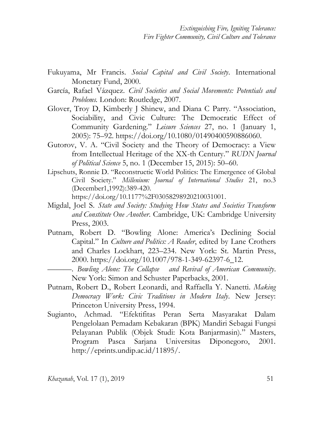- Fukuyama, Mr Francis. *Social Capital and Civil Society*. International Monetary Fund, 2000.
- García, Rafael Vázquez. *Civil Societies and Social Movements: Potentials and Problems.* London: Routledge, 2007.
- Glover, Troy D, Kimberly J Shinew, and Diana C Parry. "Association, Sociability, and Civic Culture: The Democratic Effect of Community Gardening." *Leisure Sciences* 27, no. 1 (January 1, 2005): 75–92. https://doi.org/10.1080/01490400590886060.
- Gutorov, V. A. "Civil Society and the Theory of Democracy: a View from Intellectual Heritage of the XX-th Century." *RUDN Journal of Political Science* 5, no. 1 (December 15, 2015): 50–60.
- Lipschuts, Ronnie D. "Reconstructic World Politics: The Emergence of Global Civil Society." *Millenium: Journal of International Studies* 21, no.3 (December1,1992):389-420. https://doi.org/10.1177%2F03058298920210031001.
- Migdal, Joel S. *State and Society: Studying How States and Societies Transform and Constitute One Another*. Cambridge, UK: Cambridge University Press, 2003.
- Putnam, Robert D. "Bowling Alone: America's Declining Social Capital." In *Culture and Politics: A Reader*, edited by Lane Crothers and Charles Lockhart, 223–234. New York: St. Martin Press, 2000. https://doi.org/10.1007/978-1-349-62397-6\_12.
	- ———. *Bowling Alone: The Collapse and Revival of American Community*. New York: Simon and Schuster Paperbacks, 2001.
- Putnam, Robert D., Robert Leonardi, and Raffaella Y. Nanetti. *Making Democracy Work: Civic Traditions in Modern Italy*. New Jersey: Princeton University Press, 1994.
- Sugianto, Achmad. "Efektifitas Peran Serta Masyarakat Dalam Pengelolaan Pemadam Kebakaran (BPK) Mandiri Sebagai Fungsi Pelayanan Publik (Objek Studi: Kota Banjarmasin)." Masters, Program Pasca Sarjana Universitas Diponegoro, 2001. http://eprints.undip.ac.id/11895/.